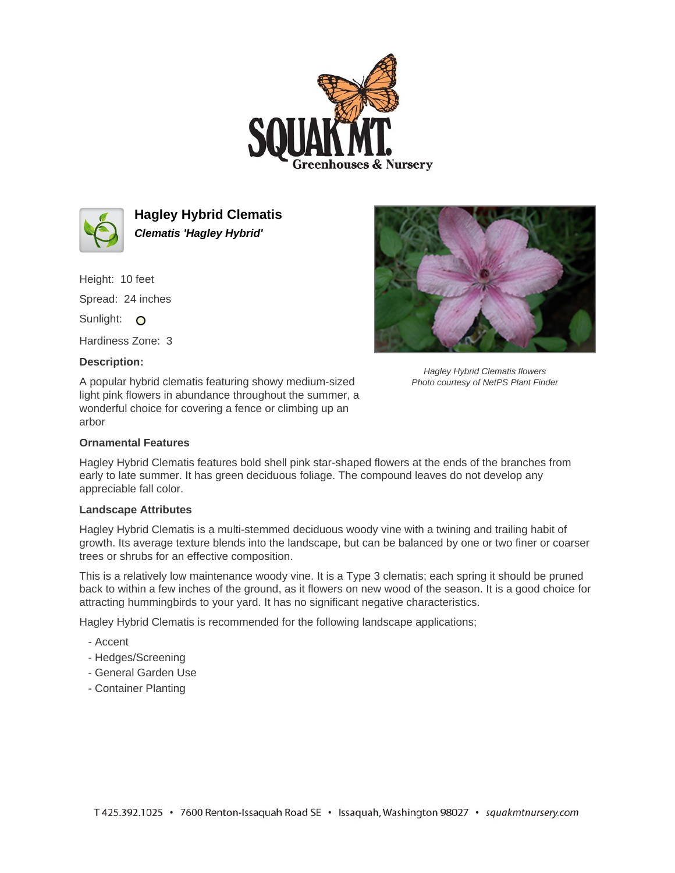



**Hagley Hybrid Clematis Clematis 'Hagley Hybrid'**

Height: 10 feet Spread: 24 inches Sunlight: O Hardiness Zone: 3

## **Description:**

A popular hybrid clematis featuring showy medium-sized light pink flowers in abundance throughout the summer, a wonderful choice for covering a fence or climbing up an arbor

## **Ornamental Features**

Hagley Hybrid Clematis features bold shell pink star-shaped flowers at the ends of the branches from early to late summer. It has green deciduous foliage. The compound leaves do not develop any appreciable fall color.

## **Landscape Attributes**

Hagley Hybrid Clematis is a multi-stemmed deciduous woody vine with a twining and trailing habit of growth. Its average texture blends into the landscape, but can be balanced by one or two finer or coarser trees or shrubs for an effective composition.

This is a relatively low maintenance woody vine. It is a Type 3 clematis; each spring it should be pruned back to within a few inches of the ground, as it flowers on new wood of the season. It is a good choice for attracting hummingbirds to your yard. It has no significant negative characteristics.

Hagley Hybrid Clematis is recommended for the following landscape applications;

- Accent
- Hedges/Screening
- General Garden Use
- Container Planting



Hagley Hybrid Clematis flowers Photo courtesy of NetPS Plant Finder